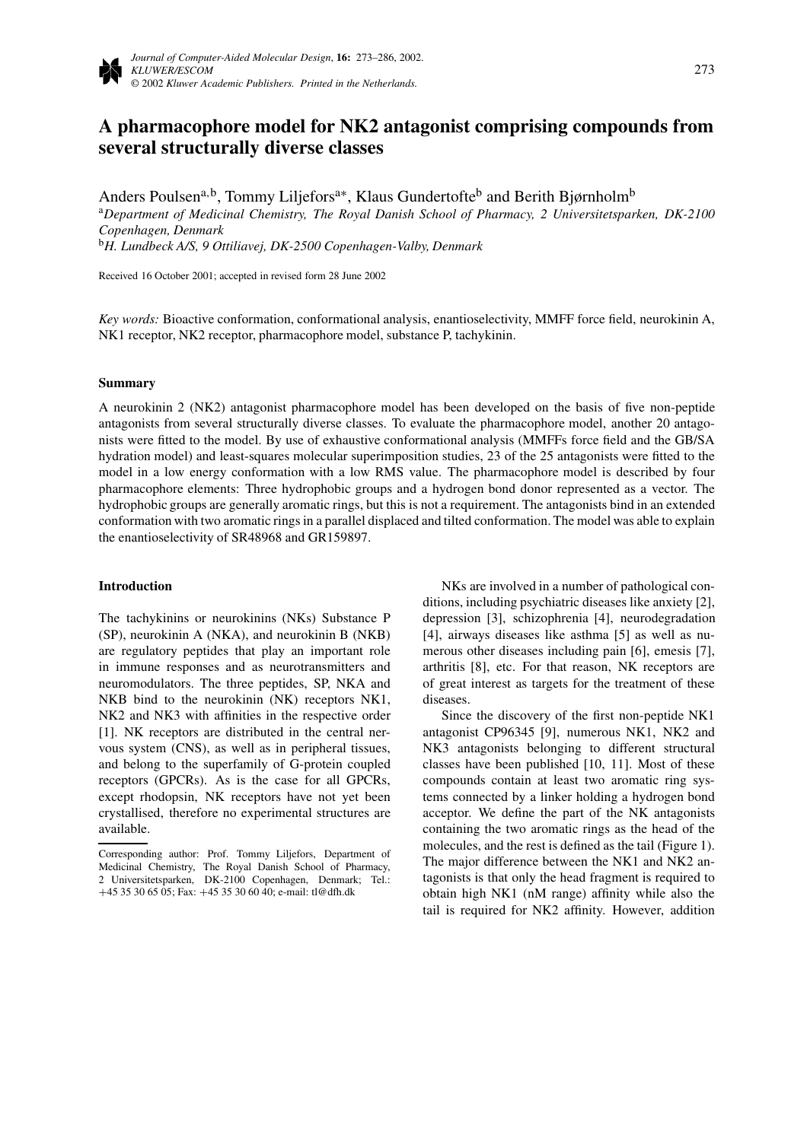# **A pharmacophore model for NK2 antagonist comprising compounds from several structurally diverse classes**

Anders Poulsen<sup>a,b</sup>, Tommy Liljefors<sup>a∗</sup>, Klaus Gundertofte<sup>b</sup> and Berith Bjørnholm<sup>b</sup>

<sup>a</sup>*Department of Medicinal Chemistry, The Royal Danish School of Pharmacy, 2 Universitetsparken, DK-2100 Copenhagen, Denmark*

<sup>b</sup>*H. Lundbeck A/S, 9 Ottiliavej, DK-2500 Copenhagen-Valby, Denmark*

Received 16 October 2001; accepted in revised form 28 June 2002

*Key words:* Bioactive conformation, conformational analysis, enantioselectivity, MMFF force field, neurokinin A, NK1 receptor, NK2 receptor, pharmacophore model, substance P, tachykinin.

## **Summary**

A neurokinin 2 (NK2) antagonist pharmacophore model has been developed on the basis of five non-peptide antagonists from several structurally diverse classes. To evaluate the pharmacophore model, another 20 antagonists were fitted to the model. By use of exhaustive conformational analysis (MMFFs force field and the GB/SA hydration model) and least-squares molecular superimposition studies, 23 of the 25 antagonists were fitted to the model in a low energy conformation with a low RMS value. The pharmacophore model is described by four pharmacophore elements: Three hydrophobic groups and a hydrogen bond donor represented as a vector. The hydrophobic groups are generally aromatic rings, but this is not a requirement. The antagonists bind in an extended conformation with two aromatic rings in a parallel displaced and tilted conformation. The model was able to explain the enantioselectivity of SR48968 and GR159897.

## **Introduction**

The tachykinins or neurokinins (NKs) Substance P (SP), neurokinin A (NKA), and neurokinin B (NKB) are regulatory peptides that play an important role in immune responses and as neurotransmitters and neuromodulators. The three peptides, SP, NKA and NKB bind to the neurokinin (NK) receptors NK1, NK2 and NK3 with affinities in the respective order [1]. NK receptors are distributed in the central nervous system (CNS), as well as in peripheral tissues, and belong to the superfamily of G-protein coupled receptors (GPCRs). As is the case for all GPCRs, except rhodopsin, NK receptors have not yet been crystallised, therefore no experimental structures are available.

NKs are involved in a number of pathological conditions, including psychiatric diseases like anxiety [2], depression [3], schizophrenia [4], neurodegradation [4], airways diseases like asthma [5] as well as numerous other diseases including pain [6], emesis [7], arthritis [8], etc. For that reason, NK receptors are of great interest as targets for the treatment of these diseases.

Since the discovery of the first non-peptide NK1 antagonist CP96345 [9], numerous NK1, NK2 and NK3 antagonists belonging to different structural classes have been published [10, 11]. Most of these compounds contain at least two aromatic ring systems connected by a linker holding a hydrogen bond acceptor. We define the part of the NK antagonists containing the two aromatic rings as the head of the molecules, and the rest is defined as the tail (Figure 1). The major difference between the NK1 and NK2 antagonists is that only the head fragment is required to obtain high NK1 (nM range) affinity while also the tail is required for NK2 affinity. However, addition

Corresponding author: Prof. Tommy Liljefors, Department of Medicinal Chemistry, The Royal Danish School of Pharmacy, 2 Universitetsparken, DK-2100 Copenhagen, Denmark; Tel.: +45 35 30 65 05; Fax: +45 35 30 60 40; e-mail: tl@dfh.dk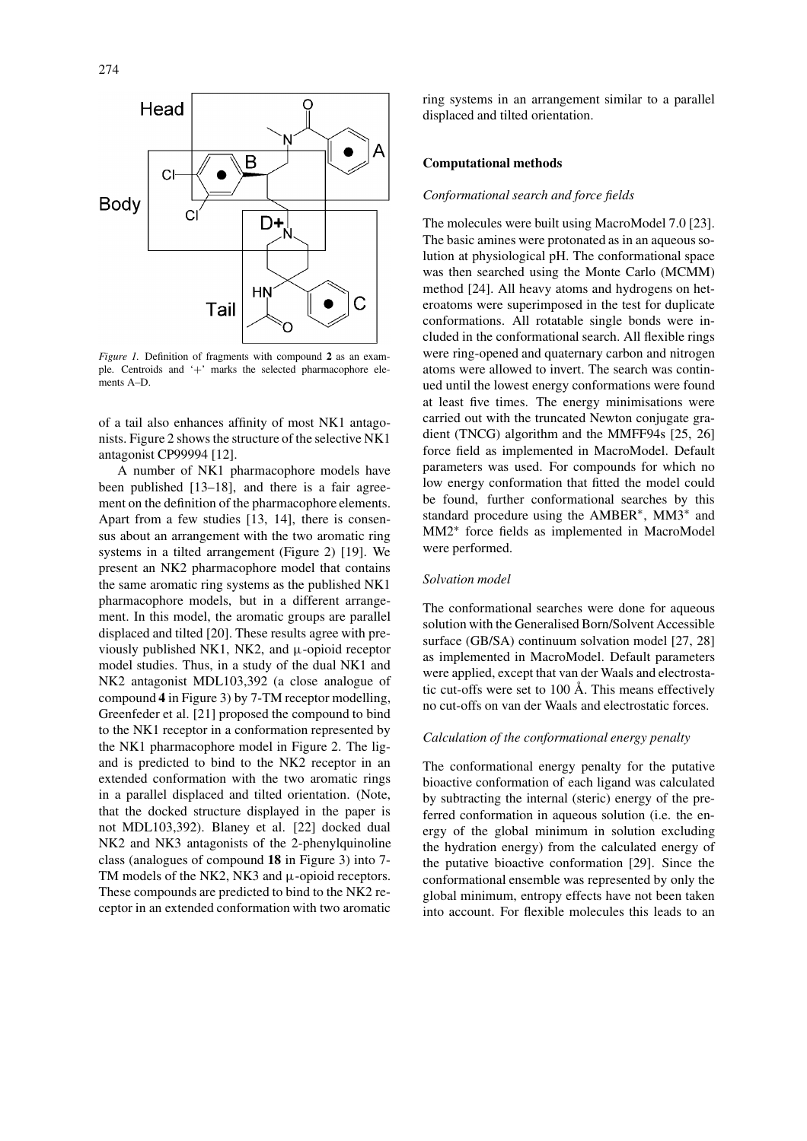

*Figure 1.* Definition of fragments with compound **2** as an example. Centroids and '+' marks the selected pharmacophore elements A–D.

of a tail also enhances affinity of most NK1 antagonists. Figure 2 shows the structure of the selective NK1 antagonist CP99994 [12].

A number of NK1 pharmacophore models have been published [13–18], and there is a fair agreement on the definition of the pharmacophore elements. Apart from a few studies [13, 14], there is consensus about an arrangement with the two aromatic ring systems in a tilted arrangement (Figure 2) [19]. We present an NK2 pharmacophore model that contains the same aromatic ring systems as the published NK1 pharmacophore models, but in a different arrangement. In this model, the aromatic groups are parallel displaced and tilted [20]. These results agree with previously published NK1, NK2, and  $\mu$ -opioid receptor model studies. Thus, in a study of the dual NK1 and NK2 antagonist MDL103,392 (a close analogue of compound **4** in Figure 3) by 7-TM receptor modelling, Greenfeder et al. [21] proposed the compound to bind to the NK1 receptor in a conformation represented by the NK1 pharmacophore model in Figure 2. The ligand is predicted to bind to the NK2 receptor in an extended conformation with the two aromatic rings in a parallel displaced and tilted orientation. (Note, that the docked structure displayed in the paper is not MDL103,392). Blaney et al. [22] docked dual NK2 and NK3 antagonists of the 2-phenylquinoline class (analogues of compound **18** in Figure 3) into 7- TM models of the NK2, NK3 and  $\mu$ -opioid receptors. These compounds are predicted to bind to the NK2 receptor in an extended conformation with two aromatic

ring systems in an arrangement similar to a parallel displaced and tilted orientation.

## **Computational methods**

# *Conformational search and force fields*

The molecules were built using MacroModel 7.0 [23]. The basic amines were protonated as in an aqueous solution at physiological pH. The conformational space was then searched using the Monte Carlo (MCMM) method [24]. All heavy atoms and hydrogens on heteroatoms were superimposed in the test for duplicate conformations. All rotatable single bonds were included in the conformational search. All flexible rings were ring-opened and quaternary carbon and nitrogen atoms were allowed to invert. The search was continued until the lowest energy conformations were found at least five times. The energy minimisations were carried out with the truncated Newton conjugate gradient (TNCG) algorithm and the MMFF94s [25, 26] force field as implemented in MacroModel. Default parameters was used. For compounds for which no low energy conformation that fitted the model could be found, further conformational searches by this standard procedure using the AMBER∗, MM3∗ and MM2∗ force fields as implemented in MacroModel were performed.

### *Solvation model*

The conformational searches were done for aqueous solution with the Generalised Born/Solvent Accessible surface (GB/SA) continuum solvation model [27, 28] as implemented in MacroModel. Default parameters were applied, except that van der Waals and electrostatic cut-offs were set to 100 Å. This means effectively no cut-offs on van der Waals and electrostatic forces.

# *Calculation of the conformational energy penalty*

The conformational energy penalty for the putative bioactive conformation of each ligand was calculated by subtracting the internal (steric) energy of the preferred conformation in aqueous solution (i.e. the energy of the global minimum in solution excluding the hydration energy) from the calculated energy of the putative bioactive conformation [29]. Since the conformational ensemble was represented by only the global minimum, entropy effects have not been taken into account. For flexible molecules this leads to an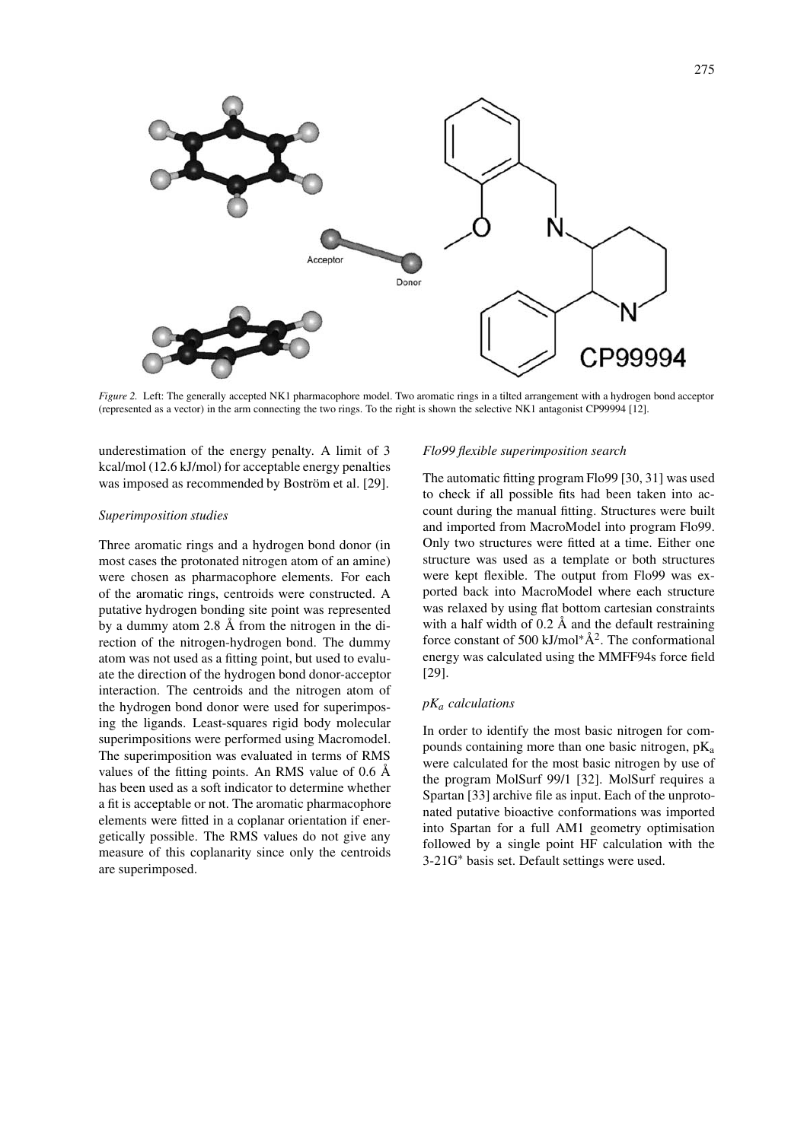

*Figure 2.* Left: The generally accepted NK1 pharmacophore model. Two aromatic rings in a tilted arrangement with a hydrogen bond acceptor (represented as a vector) in the arm connecting the two rings. To the right is shown the selective NK1 antagonist CP99994 [12].

underestimation of the energy penalty. A limit of 3 kcal/mol (12.6 kJ/mol) for acceptable energy penalties was imposed as recommended by Boström et al. [29].

#### *Superimposition studies*

Three aromatic rings and a hydrogen bond donor (in most cases the protonated nitrogen atom of an amine) were chosen as pharmacophore elements. For each of the aromatic rings, centroids were constructed. A putative hydrogen bonding site point was represented by a dummy atom 2.8 Å from the nitrogen in the direction of the nitrogen-hydrogen bond. The dummy atom was not used as a fitting point, but used to evaluate the direction of the hydrogen bond donor-acceptor interaction. The centroids and the nitrogen atom of the hydrogen bond donor were used for superimposing the ligands. Least-squares rigid body molecular superimpositions were performed using Macromodel. The superimposition was evaluated in terms of RMS values of the fitting points. An RMS value of 0.6 Å has been used as a soft indicator to determine whether a fit is acceptable or not. The aromatic pharmacophore elements were fitted in a coplanar orientation if energetically possible. The RMS values do not give any measure of this coplanarity since only the centroids are superimposed.

#### *Flo99 flexible superimposition search*

The automatic fitting program Flo99 [30, 31] was used to check if all possible fits had been taken into account during the manual fitting. Structures were built and imported from MacroModel into program Flo99. Only two structures were fitted at a time. Either one structure was used as a template or both structures were kept flexible. The output from Flo99 was exported back into MacroModel where each structure was relaxed by using flat bottom cartesian constraints with a half width of 0.2 Å and the default restraining force constant of 500 kJ/mol<sup>∗ $\AA$ 2. The conformational</sup> energy was calculated using the MMFF94s force field [29].

# *pK<sup>a</sup> calculations*

In order to identify the most basic nitrogen for compounds containing more than one basic nitrogen, pK<sub>a</sub> were calculated for the most basic nitrogen by use of the program MolSurf 99/1 [32]. MolSurf requires a Spartan [33] archive file as input. Each of the unprotonated putative bioactive conformations was imported into Spartan for a full AM1 geometry optimisation followed by a single point HF calculation with the 3-21G∗ basis set. Default settings were used.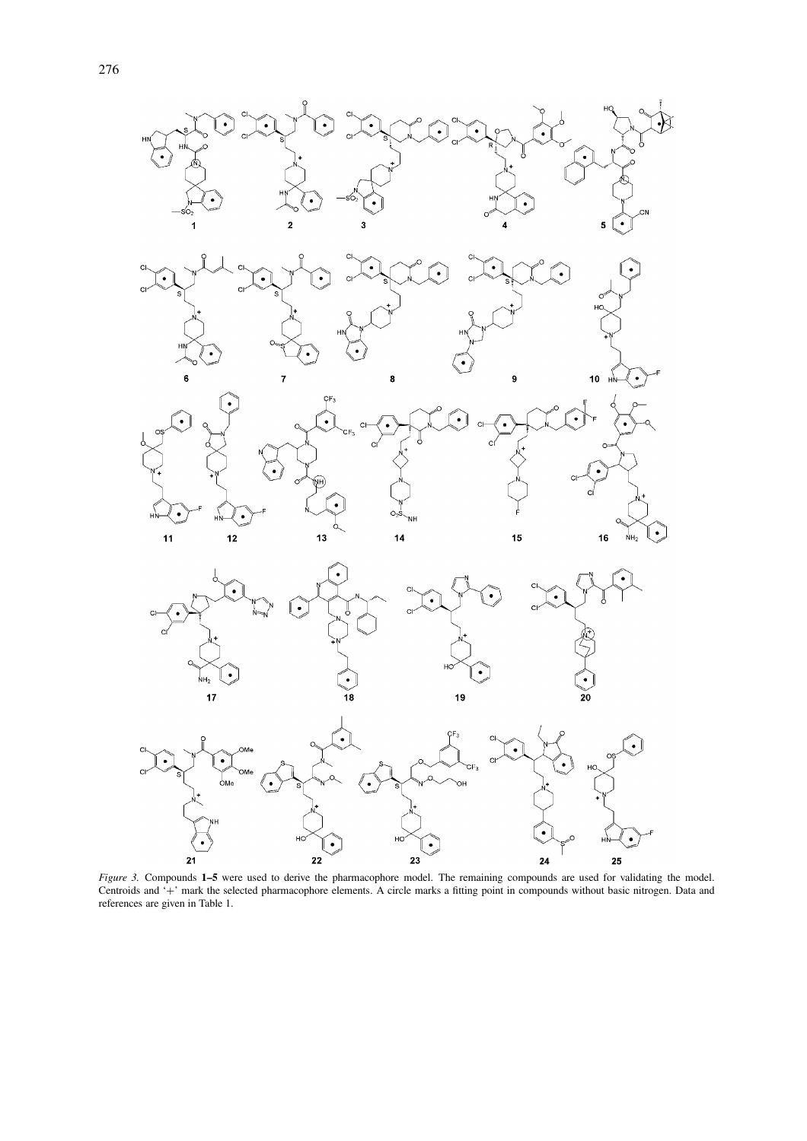





 $\bigodot$ 

 $\overline{\mathsf{NH}}_2$ 





*Figure 3.* Compounds **1–5** were used to derive the pharmacophore model. The remaining compounds are used for validating the model. Centroids and '+' mark the selected pharmacophore elements. A circle marks a fitting point in compounds without basic nitrogen. Data and references are given in Table 1.

 $\mathsf{H}$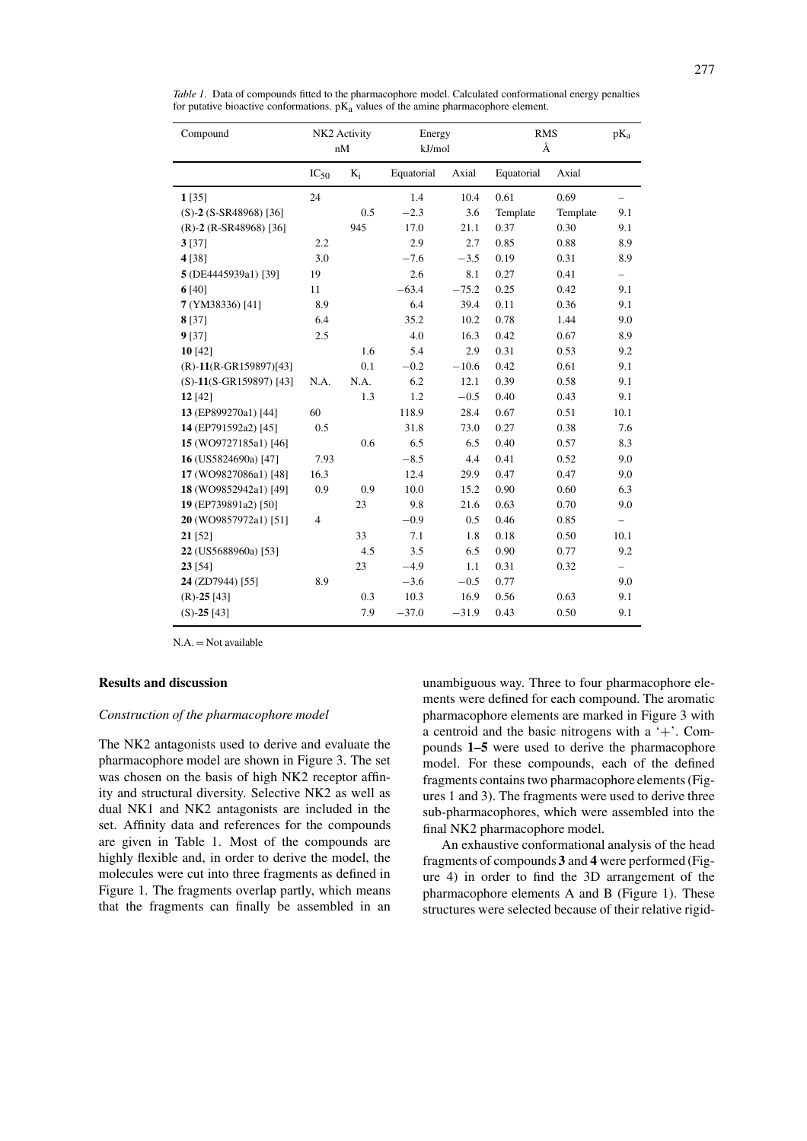| Compound                     | NK2 Activity   |              | Energy     |         | <b>RMS</b> |          | $pK_a$                   |
|------------------------------|----------------|--------------|------------|---------|------------|----------|--------------------------|
|                              |                | nM<br>kJ/mol |            | Å       |            |          |                          |
|                              | $IC_{50}$      | $K_i$        | Equatorial | Axial   | Equatorial | Axial    |                          |
| 1[35]                        | 24             |              | 1.4        | 10.4    | 0.61       | 0.69     | $\overline{\phantom{0}}$ |
| $(S)-2 (S-SR48968)$ [36]     |                | 0.5          | $-2.3$     | 3.6     | Template   | Template | 9.1                      |
| $(R)$ -2 $(R$ -SR48968) [36] |                | 945          | 17.0       | 21.1    | 0.37       | 0.30     | 9.1                      |
| 3[37]                        | 2.2            |              | 2.9        | 2.7     | 0.85       | 0.88     | 8.9                      |
| 4 [38]                       | 3.0            |              | $-7.6$     | $-3.5$  | 0.19       | 0.31     | 8.9                      |
| 5 (DE4445939a1) [39]         | 19             |              | 2.6        | 8.1     | 0.27       | 0.41     | $\overline{\phantom{0}}$ |
| 6[40]                        | 11             |              | $-63.4$    | $-75.2$ | 0.25       | 0.42     | 9.1                      |
| 7 (YM38336) [41]             | 8.9            |              | 6.4        | 39.4    | 0.11       | 0.36     | 9.1                      |
| 8[37]                        | 6.4            |              | 35.2       | 10.2    | 0.78       | 1.44     | 9.0                      |
| 9 [37]                       | 2.5            |              | 4.0        | 16.3    | 0.42       | 0.67     | 8.9                      |
| 10[42]                       |                | 1.6          | 5.4        | 2.9     | 0.31       | 0.53     | 9.2                      |
| $(R) - 11(R - GR159897)[43]$ |                | 0.1          | $-0.2$     | $-10.6$ | 0.42       | 0.61     | 9.1                      |
| $(S)-11(S-GR159897)$ [43]    | N.A.           | N.A.         | 6.2        | 12.1    | 0.39       | 0.58     | 9.1                      |
| 12 [42]                      |                | 1.3          | 1.2        | $-0.5$  | 0.40       | 0.43     | 9.1                      |
| 13 (EP899270a1) [44]         | 60             |              | 118.9      | 28.4    | 0.67       | 0.51     | 10.1                     |
| 14 (EP791592a2) [45]         | 0.5            |              | 31.8       | 73.0    | 0.27       | 0.38     | 7.6                      |
| 15 (WO9727185a1) [46]        |                | 0.6          | 6.5        | 6.5     | 0.40       | 0.57     | 8.3                      |
| 16 (US5824690a) [47]         | 7.93           |              | $-8.5$     | 4.4     | 0.41       | 0.52     | 9.0                      |
| 17 (WO9827086a1) [48]        | 16.3           |              | 12.4       | 29.9    | 0.47       | 0.47     | 9.0                      |
| 18 (WO9852942a1) [49]        | 0.9            | 0.9          | 10.0       | 15.2    | 0.90       | 0.60     | 6.3                      |
| 19 (EP739891a2) [50]         |                | 23           | 9.8        | 21.6    | 0.63       | 0.70     | 9.0                      |
| 20 (WO9857972a1) [51]        | $\overline{4}$ |              | $-0.9$     | 0.5     | 0.46       | 0.85     | $\overline{\phantom{0}}$ |
| $21$ [52]                    |                | 33           | 7.1        | 1.8     | 0.18       | 0.50     | 10.1                     |
| 22 (US5688960a) [53]         |                | 4.5          | 3.5        | 6.5     | 0.90       | 0.77     | 9.2                      |
| 23 [54]                      |                | 23           | $-4.9$     | 1.1     | 0.31       | 0.32     | $\overline{\phantom{0}}$ |
| 24 (ZD7944) [55]             | 8.9            |              | $-3.6$     | $-0.5$  | 0.77       |          | 9.0                      |
| $(R)$ -25 [43]               |                | 0.3          | 10.3       | 16.9    | 0.56       | 0.63     | 9.1                      |
| $(S)$ -25 [43]               |                | 7.9          | $-37.0$    | $-31.9$ | 0.43       | 0.50     | 9.1                      |

*Table 1.* Data of compounds fitted to the pharmacophore model. Calculated conformational energy penalties for putative bioactive conformations.  $pK_a$  values of the amine pharmacophore element.

 $N.A. = Not available$ 

# **Results and discussion**

## *Construction of the pharmacophore model*

The NK2 antagonists used to derive and evaluate the pharmacophore model are shown in Figure 3. The set was chosen on the basis of high NK2 receptor affinity and structural diversity. Selective NK2 as well as dual NK1 and NK2 antagonists are included in the set. Affinity data and references for the compounds are given in Table 1. Most of the compounds are highly flexible and, in order to derive the model, the molecules were cut into three fragments as defined in Figure 1. The fragments overlap partly, which means that the fragments can finally be assembled in an

unambiguous way. Three to four pharmacophore elements were defined for each compound. The aromatic pharmacophore elements are marked in Figure 3 with a centroid and the basic nitrogens with a  $+$ . Compounds **1–5** were used to derive the pharmacophore model. For these compounds, each of the defined fragments contains two pharmacophore elements (Figures 1 and 3). The fragments were used to derive three sub-pharmacophores, which were assembled into the final NK2 pharmacophore model.

An exhaustive conformational analysis of the head fragments of compounds **3** and **4** were performed (Figure 4) in order to find the 3D arrangement of the pharmacophore elements A and B (Figure 1). These structures were selected because of their relative rigid-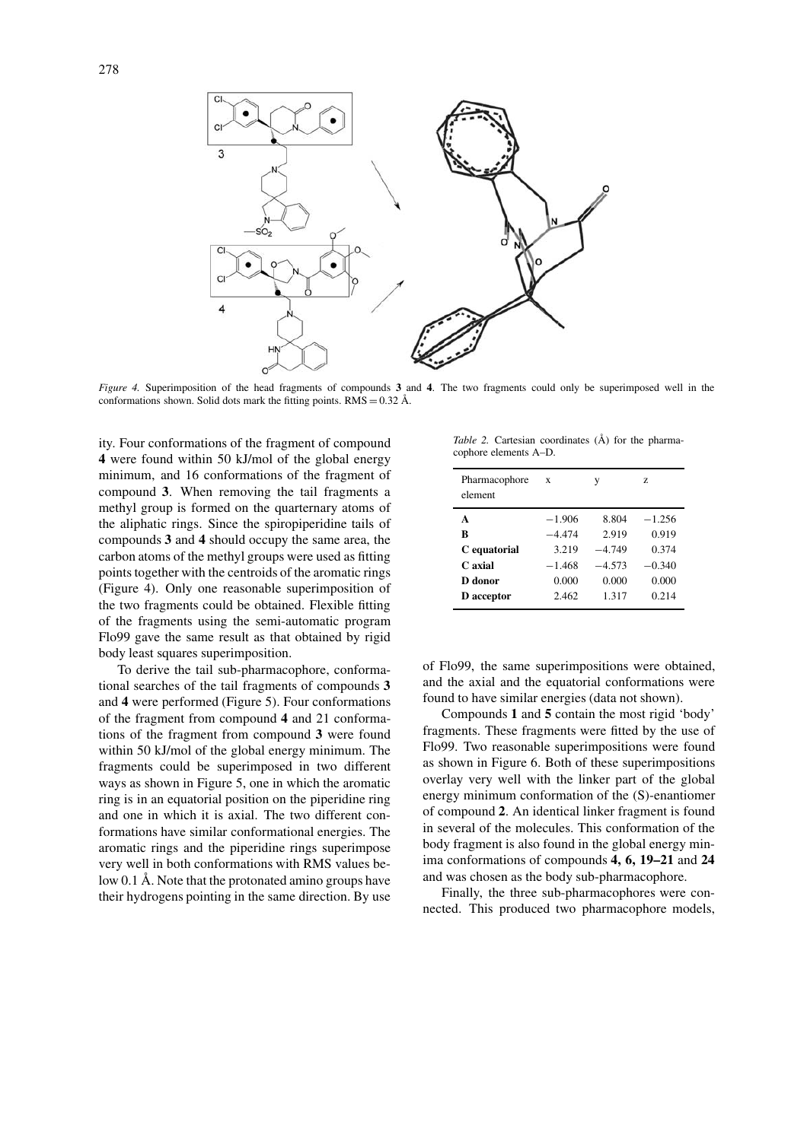

*Figure 4.* Superimposition of the head fragments of compounds **3** and **4**. The two fragments could only be superimposed well in the conformations shown. Solid dots mark the fitting points. RMS =  $0.32 \text{ Å}$ .

ity. Four conformations of the fragment of compound **4** were found within 50 kJ/mol of the global energy minimum, and 16 conformations of the fragment of compound **3**. When removing the tail fragments a methyl group is formed on the quarternary atoms of the aliphatic rings. Since the spiropiperidine tails of compounds **3** and **4** should occupy the same area, the carbon atoms of the methyl groups were used as fitting points together with the centroids of the aromatic rings (Figure 4). Only one reasonable superimposition of the two fragments could be obtained. Flexible fitting of the fragments using the semi-automatic program Flo99 gave the same result as that obtained by rigid body least squares superimposition.

To derive the tail sub-pharmacophore, conformational searches of the tail fragments of compounds **3** and **4** were performed (Figure 5). Four conformations of the fragment from compound **4** and 21 conformations of the fragment from compound **3** were found within 50 kJ/mol of the global energy minimum. The fragments could be superimposed in two different ways as shown in Figure 5, one in which the aromatic ring is in an equatorial position on the piperidine ring and one in which it is axial. The two different conformations have similar conformational energies. The aromatic rings and the piperidine rings superimpose very well in both conformations with RMS values below 0.1 Å. Note that the protonated amino groups have their hydrogens pointing in the same direction. By use

*Table 2.* Cartesian coordinates (Å) for the pharmacophore elements A–D.

| Pharmacophore<br>element | $\mathbf{x}$ | y        | Z        |
|--------------------------|--------------|----------|----------|
| A                        | $-1.906$     | 8.804    | $-1.256$ |
| B                        | $-4.474$     | 2.919    | 0.919    |
| C equatorial             | 3.219        | $-4.749$ | 0.374    |
| C axial                  | $-1.468$     | $-4.573$ | $-0.340$ |
| D donor                  | 0.000        | 0.000    | 0.000    |
| <b>D</b> acceptor        | 2.462        | 1.317    | 0.214    |

of Flo99, the same superimpositions were obtained, and the axial and the equatorial conformations were found to have similar energies (data not shown).

Compounds **1** and **5** contain the most rigid 'body' fragments. These fragments were fitted by the use of Flo99. Two reasonable superimpositions were found as shown in Figure 6. Both of these superimpositions overlay very well with the linker part of the global energy minimum conformation of the (S)-enantiomer of compound **2**. An identical linker fragment is found in several of the molecules. This conformation of the body fragment is also found in the global energy minima conformations of compounds **4, 6, 19–21** and **24** and was chosen as the body sub-pharmacophore.

Finally, the three sub-pharmacophores were connected. This produced two pharmacophore models,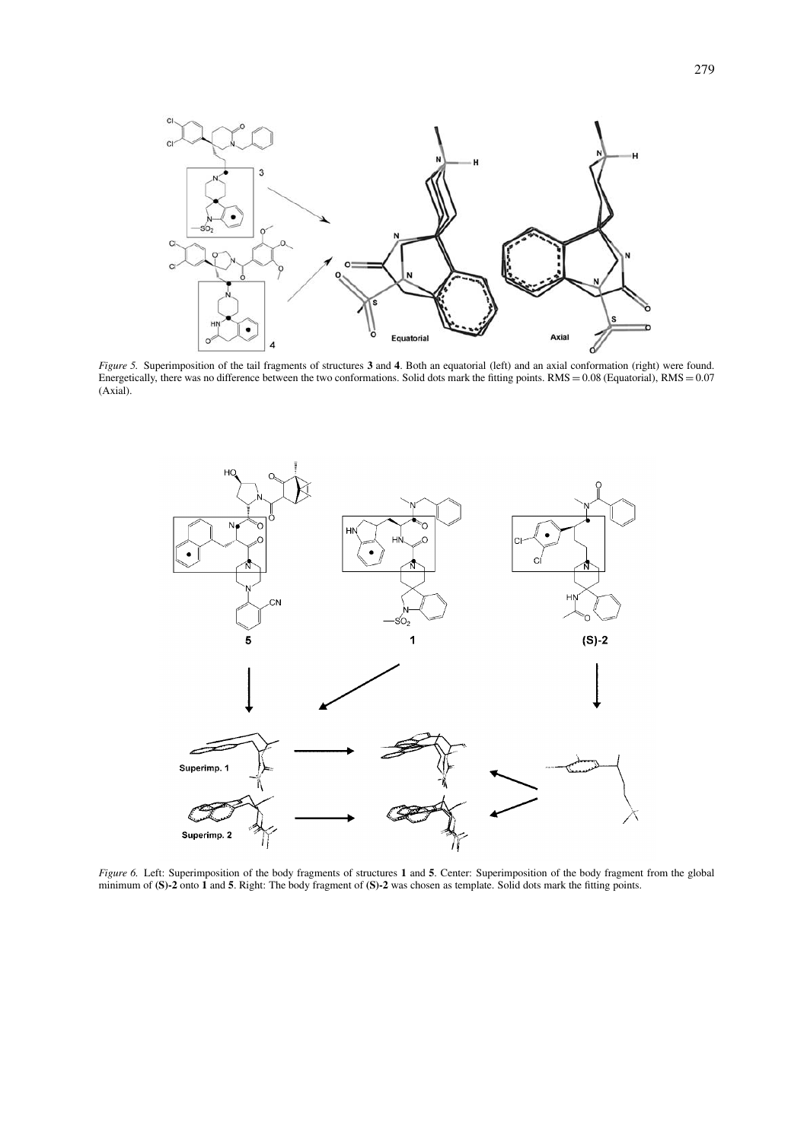

*Figure 5.* Superimposition of the tail fragments of structures **3** and **4**. Both an equatorial (left) and an axial conformation (right) were found. Energetically, there was no difference between the two conformations. Solid dots mark the fitting points.  $RMS = 0.08$  (Equatorial),  $RMS = 0.07$ (Axial).



*Figure 6.* Left: Superimposition of the body fragments of structures **1** and **5**. Center: Superimposition of the body fragment from the global minimum of **(S)-2** onto **1** and **5**. Right: The body fragment of **(S)-2** was chosen as template. Solid dots mark the fitting points.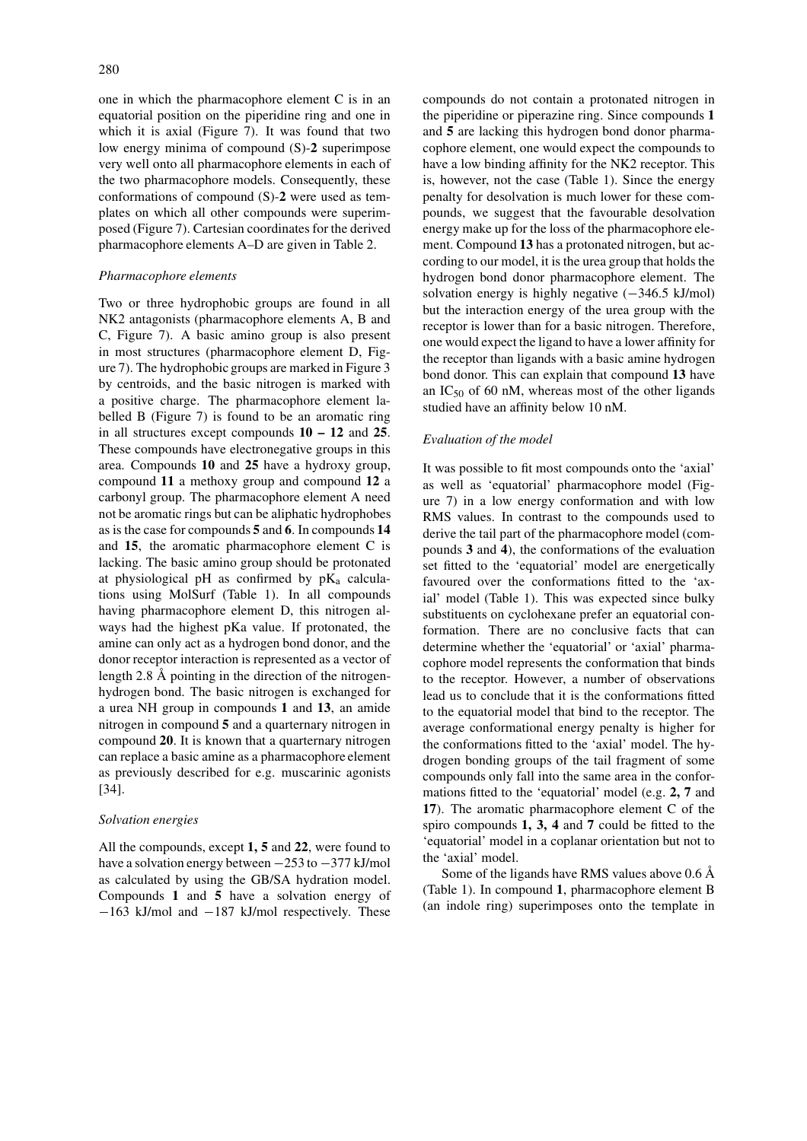one in which the pharmacophore element C is in an equatorial position on the piperidine ring and one in which it is axial (Figure 7). It was found that two low energy minima of compound (S)-**2** superimpose very well onto all pharmacophore elements in each of the two pharmacophore models. Consequently, these conformations of compound (S)-**2** were used as templates on which all other compounds were superimposed (Figure 7). Cartesian coordinates for the derived pharmacophore elements A–D are given in Table 2.

## *Pharmacophore elements*

Two or three hydrophobic groups are found in all NK2 antagonists (pharmacophore elements A, B and C, Figure 7). A basic amino group is also present in most structures (pharmacophore element D, Figure 7). The hydrophobic groups are marked in Figure 3 by centroids, and the basic nitrogen is marked with a positive charge. The pharmacophore element labelled B (Figure 7) is found to be an aromatic ring in all structures except compounds **10 – 12** and **25**. These compounds have electronegative groups in this area. Compounds **10** and **25** have a hydroxy group, compound **11** a methoxy group and compound **12** a carbonyl group. The pharmacophore element A need not be aromatic rings but can be aliphatic hydrophobes as is the case for compounds **5** and **6**. In compounds **14** and **15**, the aromatic pharmacophore element C is lacking. The basic amino group should be protonated at physiological pH as confirmed by  $pK_a$  calculations using MolSurf (Table 1). In all compounds having pharmacophore element D, this nitrogen always had the highest pKa value. If protonated, the amine can only act as a hydrogen bond donor, and the donor receptor interaction is represented as a vector of length 2.8 Å pointing in the direction of the nitrogenhydrogen bond. The basic nitrogen is exchanged for a urea NH group in compounds **1** and **13**, an amide nitrogen in compound **5** and a quarternary nitrogen in compound **20**. It is known that a quarternary nitrogen can replace a basic amine as a pharmacophore element as previously described for e.g. muscarinic agonists [34].

### *Solvation energies*

All the compounds, except **1, 5** and **22**, were found to have a solvation energy between −253 to −377 kJ/mol as calculated by using the GB/SA hydration model. Compounds **1** and **5** have a solvation energy of −163 kJ/mol and −187 kJ/mol respectively. These compounds do not contain a protonated nitrogen in the piperidine or piperazine ring. Since compounds **1** and **5** are lacking this hydrogen bond donor pharmacophore element, one would expect the compounds to have a low binding affinity for the NK2 receptor. This is, however, not the case (Table 1). Since the energy penalty for desolvation is much lower for these compounds, we suggest that the favourable desolvation energy make up for the loss of the pharmacophore element. Compound **13** has a protonated nitrogen, but according to our model, it is the urea group that holds the hydrogen bond donor pharmacophore element. The solvation energy is highly negative  $(-346.5 \text{ kJ/mol})$ but the interaction energy of the urea group with the receptor is lower than for a basic nitrogen. Therefore, one would expect the ligand to have a lower affinity for the receptor than ligands with a basic amine hydrogen bond donor. This can explain that compound **13** have an  $IC_{50}$  of 60 nM, whereas most of the other ligands studied have an affinity below 10 nM.

## *Evaluation of the model*

It was possible to fit most compounds onto the 'axial' as well as 'equatorial' pharmacophore model (Figure 7) in a low energy conformation and with low RMS values. In contrast to the compounds used to derive the tail part of the pharmacophore model (compounds **3** and **4**), the conformations of the evaluation set fitted to the 'equatorial' model are energetically favoured over the conformations fitted to the 'axial' model (Table 1). This was expected since bulky substituents on cyclohexane prefer an equatorial conformation. There are no conclusive facts that can determine whether the 'equatorial' or 'axial' pharmacophore model represents the conformation that binds to the receptor. However, a number of observations lead us to conclude that it is the conformations fitted to the equatorial model that bind to the receptor. The average conformational energy penalty is higher for the conformations fitted to the 'axial' model. The hydrogen bonding groups of the tail fragment of some compounds only fall into the same area in the conformations fitted to the 'equatorial' model (e.g. **2, 7** and **17**). The aromatic pharmacophore element C of the spiro compounds **1, 3, 4** and **7** could be fitted to the 'equatorial' model in a coplanar orientation but not to the 'axial' model.

Some of the ligands have RMS values above 0.6 Å (Table 1). In compound **1**, pharmacophore element B (an indole ring) superimposes onto the template in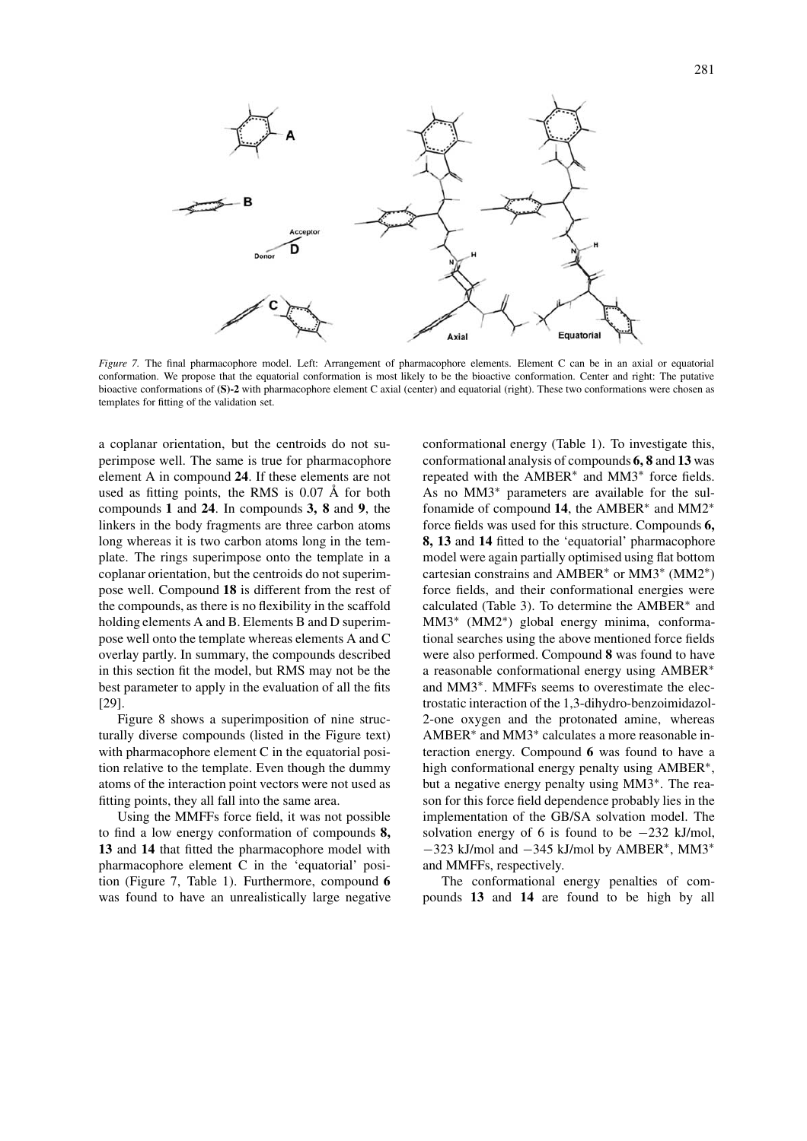

*Figure 7.* The final pharmacophore model. Left: Arrangement of pharmacophore elements. Element C can be in an axial or equatorial conformation. We propose that the equatorial conformation is most likely to be the bioactive conformation. Center and right: The putative bioactive conformations of **(S)-2** with pharmacophore element C axial (center) and equatorial (right). These two conformations were chosen as templates for fitting of the validation set.

a coplanar orientation, but the centroids do not superimpose well. The same is true for pharmacophore element A in compound **24**. If these elements are not used as fitting points, the RMS is 0.07 Å for both compounds **1** and **24**. In compounds **3, 8** and **9**, the linkers in the body fragments are three carbon atoms long whereas it is two carbon atoms long in the template. The rings superimpose onto the template in a coplanar orientation, but the centroids do not superimpose well. Compound **18** is different from the rest of the compounds, as there is no flexibility in the scaffold holding elements A and B. Elements B and D superimpose well onto the template whereas elements A and C overlay partly. In summary, the compounds described in this section fit the model, but RMS may not be the best parameter to apply in the evaluation of all the fits [29].

Figure 8 shows a superimposition of nine structurally diverse compounds (listed in the Figure text) with pharmacophore element C in the equatorial position relative to the template. Even though the dummy atoms of the interaction point vectors were not used as fitting points, they all fall into the same area.

Using the MMFFs force field, it was not possible to find a low energy conformation of compounds **8, 13** and **14** that fitted the pharmacophore model with pharmacophore element C in the 'equatorial' position (Figure 7, Table 1). Furthermore, compound **6** was found to have an unrealistically large negative conformational energy (Table 1). To investigate this, conformational analysis of compounds **6, 8** and **13** was repeated with the AMBER∗ and MM3∗ force fields. As no MM3∗ parameters are available for the sulfonamide of compound **14**, the AMBER∗ and MM2∗ force fields was used for this structure. Compounds **6, 8, 13** and **14** fitted to the 'equatorial' pharmacophore model were again partially optimised using flat bottom cartesian constrains and AMBER∗ or MM3∗ (MM2∗) force fields, and their conformational energies were calculated (Table 3). To determine the AMBER∗ and MM3∗ (MM2∗) global energy minima, conformational searches using the above mentioned force fields were also performed. Compound **8** was found to have a reasonable conformational energy using AMBER∗ and MM3∗. MMFFs seems to overestimate the electrostatic interaction of the 1,3-dihydro-benzoimidazol-2-one oxygen and the protonated amine, whereas AMBER∗ and MM3∗ calculates a more reasonable interaction energy. Compound **6** was found to have a high conformational energy penalty using AMBER∗, but a negative energy penalty using MM3∗. The reason for this force field dependence probably lies in the implementation of the GB/SA solvation model. The solvation energy of 6 is found to be  $-232$  kJ/mol, −323 kJ/mol and −345 kJ/mol by AMBER∗, MM3<sup>∗</sup> and MMFFs, respectively.

The conformational energy penalties of compounds **13** and **14** are found to be high by all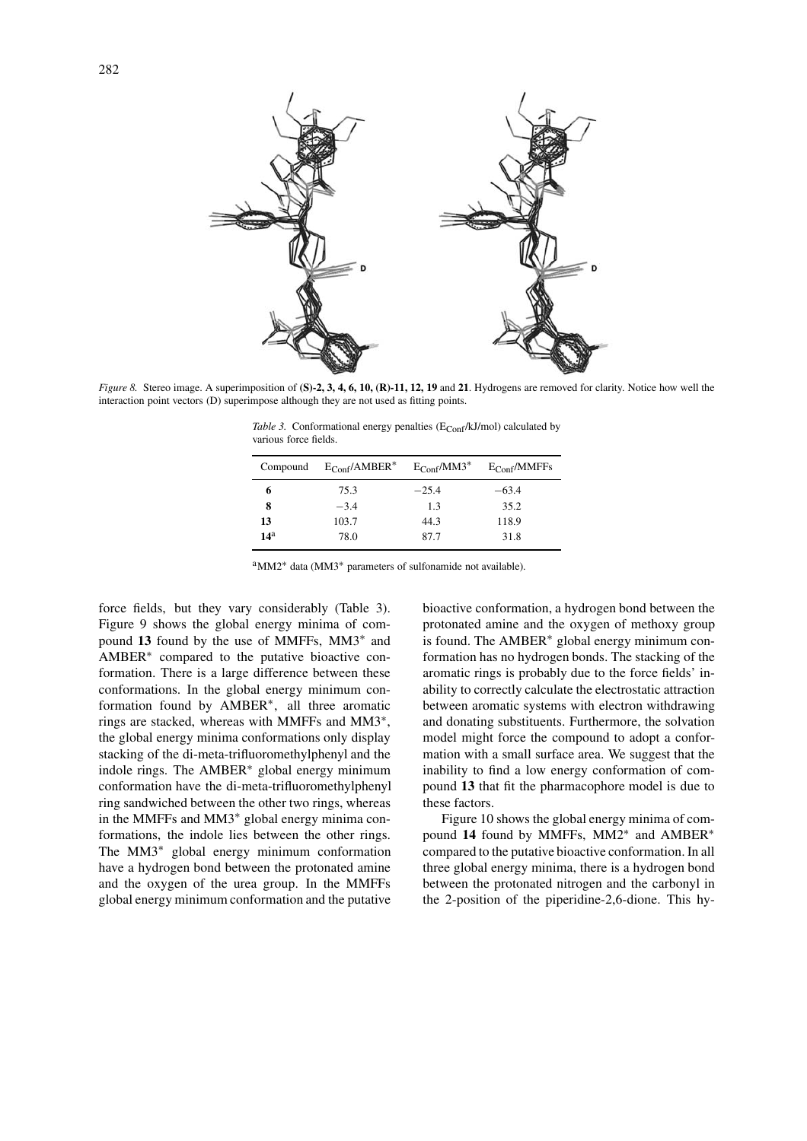

*Figure 8.* Stereo image. A superimposition of **(S)-2, 3, 4, 6, 10, (R)-11, 12, 19** and **21**. Hydrogens are removed for clarity. Notice how well the interaction point vectors (D) superimpose although they are not used as fitting points.

*Table 3.* Conformational energy penalties  $(E_{\text{Conf}}/kJ/mol)$  calculated by various force fields.

| Compound        | $E_{Conf}/AMBER^*$ | $E_{\text{Conf}}/MM3^*$ | $E_{Conf}/MMFFs$ |
|-----------------|--------------------|-------------------------|------------------|
| 6               | 75.3               | $-25.4$                 | $-63.4$          |
| 8               | $-3.4$             | 1.3                     | 35.2             |
| 13              | 103.7              | 44.3                    | 118.9            |
| 14 <sup>a</sup> | 78.0               | 87.7                    | 31.8             |

aMM2<sup>∗</sup> data (MM3<sup>∗</sup> parameters of sulfonamide not available).

force fields, but they vary considerably (Table 3). Figure 9 shows the global energy minima of compound **13** found by the use of MMFFs, MM3∗ and AMBER∗ compared to the putative bioactive conformation. There is a large difference between these conformations. In the global energy minimum conformation found by AMBER∗, all three aromatic rings are stacked, whereas with MMFFs and MM3∗, the global energy minima conformations only display stacking of the di-meta-trifluoromethylphenyl and the indole rings. The AMBER∗ global energy minimum conformation have the di-meta-trifluoromethylphenyl ring sandwiched between the other two rings, whereas in the MMFFs and MM3∗ global energy minima conformations, the indole lies between the other rings. The MM3∗ global energy minimum conformation have a hydrogen bond between the protonated amine and the oxygen of the urea group. In the MMFFs global energy minimum conformation and the putative bioactive conformation, a hydrogen bond between the protonated amine and the oxygen of methoxy group is found. The AMBER∗ global energy minimum conformation has no hydrogen bonds. The stacking of the aromatic rings is probably due to the force fields' inability to correctly calculate the electrostatic attraction between aromatic systems with electron withdrawing and donating substituents. Furthermore, the solvation model might force the compound to adopt a conformation with a small surface area. We suggest that the inability to find a low energy conformation of compound **13** that fit the pharmacophore model is due to these factors.

Figure 10 shows the global energy minima of compound **14** found by MMFFs, MM2∗ and AMBER∗ compared to the putative bioactive conformation. In all three global energy minima, there is a hydrogen bond between the protonated nitrogen and the carbonyl in the 2-position of the piperidine-2,6-dione. This hy-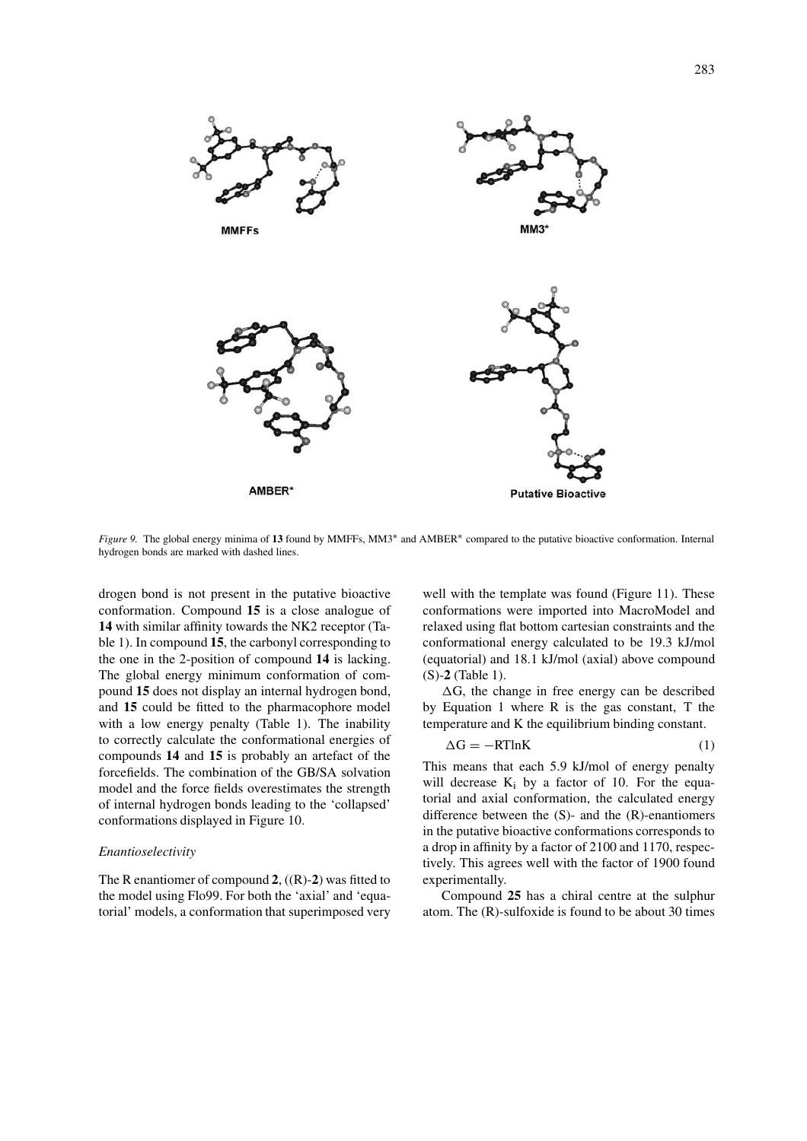

*Figure 9.* The global energy minima of **13** found by MMFFs, MM3∗ and AMBER∗ compared to the putative bioactive conformation. Internal hydrogen bonds are marked with dashed lines.

drogen bond is not present in the putative bioactive conformation. Compound **15** is a close analogue of **14** with similar affinity towards the NK2 receptor (Table 1). In compound **15**, the carbonyl corresponding to the one in the 2-position of compound **14** is lacking. The global energy minimum conformation of compound **15** does not display an internal hydrogen bond, and **15** could be fitted to the pharmacophore model with a low energy penalty (Table 1). The inability to correctly calculate the conformational energies of compounds **14** and **15** is probably an artefact of the forcefields. The combination of the GB/SA solvation model and the force fields overestimates the strength of internal hydrogen bonds leading to the 'collapsed' conformations displayed in Figure 10.

#### *Enantioselectivity*

The R enantiomer of compound **2**, ((R)-**2**) was fitted to the model using Flo99. For both the 'axial' and 'equatorial' models, a conformation that superimposed very well with the template was found (Figure 11). These conformations were imported into MacroModel and relaxed using flat bottom cartesian constraints and the conformational energy calculated to be 19.3 kJ/mol (equatorial) and 18.1 kJ/mol (axial) above compound (S)-**2** (Table 1).

 $\Delta G$ , the change in free energy can be described by Equation 1 where R is the gas constant, T the temperature and K the equilibrium binding constant.

$$
\Delta G = -RTlnK\tag{1}
$$

This means that each 5.9 kJ/mol of energy penalty will decrease  $K_i$  by a factor of 10. For the equatorial and axial conformation, the calculated energy difference between the (S)- and the (R)-enantiomers in the putative bioactive conformations corresponds to a drop in affinity by a factor of 2100 and 1170, respectively. This agrees well with the factor of 1900 found experimentally.

Compound **25** has a chiral centre at the sulphur atom. The (R)-sulfoxide is found to be about 30 times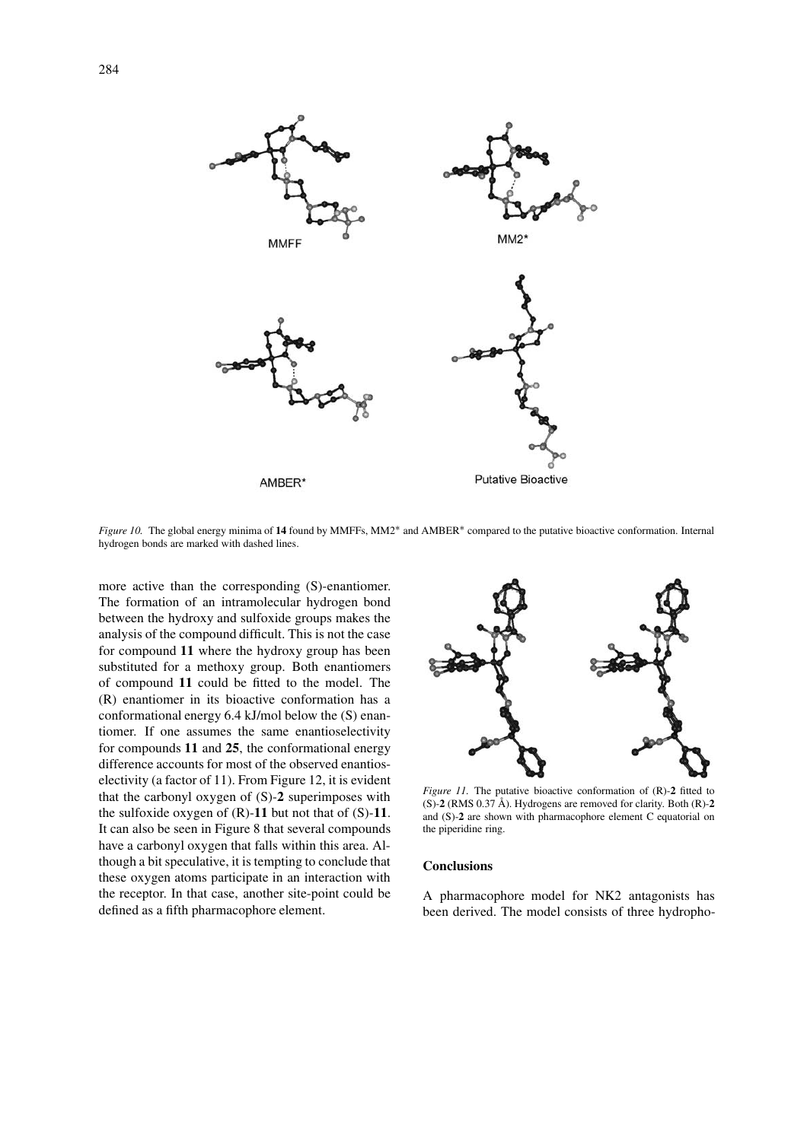

*Figure 10.* The global energy minima of **14** found by MMFFs, MM2∗ and AMBER∗ compared to the putative bioactive conformation. Internal hydrogen bonds are marked with dashed lines.

more active than the corresponding (S)-enantiomer. The formation of an intramolecular hydrogen bond between the hydroxy and sulfoxide groups makes the analysis of the compound difficult. This is not the case for compound **11** where the hydroxy group has been substituted for a methoxy group. Both enantiomers of compound **11** could be fitted to the model. The (R) enantiomer in its bioactive conformation has a conformational energy 6.4 kJ/mol below the (S) enantiomer. If one assumes the same enantioselectivity for compounds **11** and **25**, the conformational energy difference accounts for most of the observed enantioselectivity (a factor of 11). From Figure 12, it is evident that the carbonyl oxygen of (S)-**2** superimposes with the sulfoxide oxygen of (R)-**11** but not that of (S)-**11**. It can also be seen in Figure 8 that several compounds have a carbonyl oxygen that falls within this area. Although a bit speculative, it is tempting to conclude that these oxygen atoms participate in an interaction with the receptor. In that case, another site-point could be defined as a fifth pharmacophore element.



*Figure 11.* The putative bioactive conformation of (R)-**2** fitted to (S)-**2** (RMS 0.37 Å). Hydrogens are removed for clarity. Both (R)-**2** and (S)-**2** are shown with pharmacophore element C equatorial on the piperidine ring.

#### **Conclusions**

A pharmacophore model for NK2 antagonists has been derived. The model consists of three hydropho-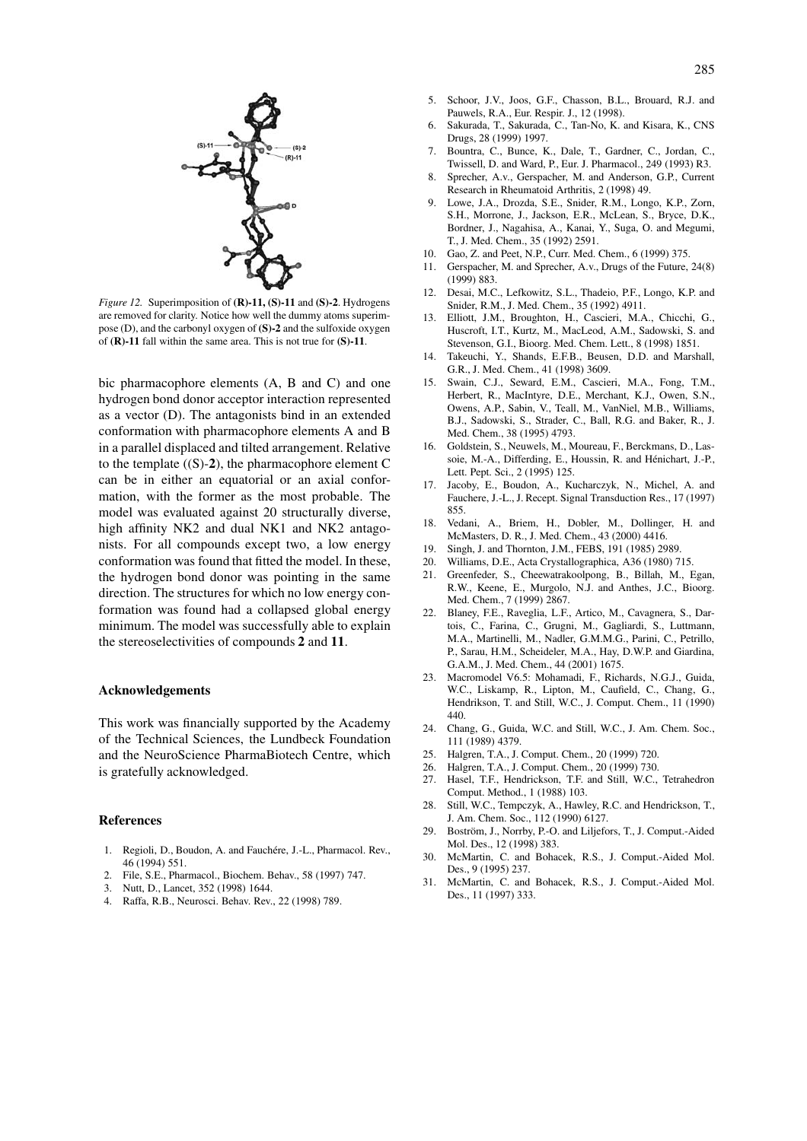

*Figure 12.* Superimposition of **(R)-11, (S)-11** and **(S)-2**. Hydrogens are removed for clarity. Notice how well the dummy atoms superimpose (D), and the carbonyl oxygen of **(S)-2** and the sulfoxide oxygen of **(R)-11** fall within the same area. This is not true for **(S)-11**.

bic pharmacophore elements (A, B and C) and one hydrogen bond donor acceptor interaction represented as a vector (D). The antagonists bind in an extended conformation with pharmacophore elements A and B in a parallel displaced and tilted arrangement. Relative to the template ((S)-**2**), the pharmacophore element C can be in either an equatorial or an axial conformation, with the former as the most probable. The model was evaluated against 20 structurally diverse, high affinity NK2 and dual NK1 and NK2 antagonists. For all compounds except two, a low energy conformation was found that fitted the model. In these, the hydrogen bond donor was pointing in the same direction. The structures for which no low energy conformation was found had a collapsed global energy minimum. The model was successfully able to explain the stereoselectivities of compounds **2** and **11**.

# **Acknowledgements**

This work was financially supported by the Academy of the Technical Sciences, the Lundbeck Foundation and the NeuroScience PharmaBiotech Centre, which is gratefully acknowledged.

### **References**

- 1. Regioli, D., Boudon, A. and Fauchére, J.-L., Pharmacol. Rev., 46 (1994) 551.
- 2. File, S.E., Pharmacol., Biochem. Behav., 58 (1997) 747.
- 3. Nutt, D., Lancet, 352 (1998) 1644.
- 4. Raffa, R.B., Neurosci. Behav. Rev., 22 (1998) 789.
- 5. Schoor, J.V., Joos, G.F., Chasson, B.L., Brouard, R.J. and Pauwels, R.A., Eur. Respir. J., 12 (1998).
- 6. Sakurada, T., Sakurada, C., Tan-No, K. and Kisara, K., CNS Drugs, 28 (1999) 1997.
- 7. Bountra, C., Bunce, K., Dale, T., Gardner, C., Jordan, C., Twissell, D. and Ward, P., Eur. J. Pharmacol., 249 (1993) R3.
- 8. Sprecher, A.v., Gerspacher, M. and Anderson, G.P., Current Research in Rheumatoid Arthritis, 2 (1998) 49.
- 9. Lowe, J.A., Drozda, S.E., Snider, R.M., Longo, K.P., Zorn, S.H., Morrone, J., Jackson, E.R., McLean, S., Bryce, D.K., Bordner, J., Nagahisa, A., Kanai, Y., Suga, O. and Megumi, T., J. Med. Chem., 35 (1992) 2591.
- 10. Gao, Z. and Peet, N.P., Curr. Med. Chem., 6 (1999) 375.
- 11. Gerspacher, M. and Sprecher, A.v., Drugs of the Future, 24(8) (1999) 883.
- 12. Desai, M.C., Lefkowitz, S.L., Thadeio, P.F., Longo, K.P. and Snider, R.M., J. Med. Chem., 35 (1992) 4911.
- 13. Elliott, J.M., Broughton, H., Cascieri, M.A., Chicchi, G., Huscroft, I.T., Kurtz, M., MacLeod, A.M., Sadowski, S. and Stevenson, G.I., Bioorg. Med. Chem. Lett., 8 (1998) 1851.
- Takeuchi, Y., Shands, E.F.B., Beusen, D.D. and Marshall, G.R., J. Med. Chem., 41 (1998) 3609.
- 15. Swain, C.J., Seward, E.M., Cascieri, M.A., Fong, T.M., Herbert, R., MacIntyre, D.E., Merchant, K.J., Owen, S.N., Owens, A.P., Sabin, V., Teall, M., VanNiel, M.B., Williams, B.J., Sadowski, S., Strader, C., Ball, R.G. and Baker, R., J. Med. Chem., 38 (1995) 4793.
- 16. Goldstein, S., Neuwels, M., Moureau, F., Berckmans, D., Lassoie, M.-A., Differding, E., Houssin, R. and Hénichart, J.-P., Lett. Pept. Sci., 2 (1995) 125.
- 17. Jacoby, E., Boudon, A., Kucharczyk, N., Michel, A. and Fauchere, J.-L., J. Recept. Signal Transduction Res., 17 (1997) 855.
- 18. Vedani, A., Briem, H., Dobler, M., Dollinger, H. and McMasters, D. R., J. Med. Chem., 43 (2000) 4416.
- 19. Singh, J. and Thornton, J.M., FEBS, 191 (1985) 2989.
- 20. Williams, D.E., Acta Crystallographica, A36 (1980) 715.
- 21. Greenfeder, S., Cheewatrakoolpong, B., Billah, M., Egan, R.W., Keene, E., Murgolo, N.J. and Anthes, J.C., Bioorg. Med. Chem., 7 (1999) 2867.
- 22. Blaney, F.E., Raveglia, L.F., Artico, M., Cavagnera, S., Dartois, C., Farina, C., Grugni, M., Gagliardi, S., Luttmann, M.A., Martinelli, M., Nadler, G.M.M.G., Parini, C., Petrillo, P., Sarau, H.M., Scheideler, M.A., Hay, D.W.P. and Giardina, G.A.M., J. Med. Chem., 44 (2001) 1675.
- 23. Macromodel V6.5: Mohamadi, F., Richards, N.G.J., Guida, W.C., Liskamp, R., Lipton, M., Caufield, C., Chang, G., Hendrikson, T. and Still, W.C., J. Comput. Chem., 11 (1990) 440.
- 24. Chang, G., Guida, W.C. and Still, W.C., J. Am. Chem. Soc., 111 (1989) 4379.
- 25. Halgren, T.A., J. Comput. Chem., 20 (1999) 720.
- 26. Halgren, T.A., J. Comput. Chem., 20 (1999) 730.
- 27. Hasel, T.F., Hendrickson, T.F. and Still, W.C., Tetrahedron Comput. Method., 1 (1988) 103.
- 28. Still, W.C., Tempczyk, A., Hawley, R.C. and Hendrickson, T., J. Am. Chem. Soc., 112 (1990) 6127.
- 29. Boström, J., Norrby, P.-O. and Liljefors, T., J. Comput.-Aided Mol. Des., 12 (1998) 383.
- 30. McMartin, C. and Bohacek, R.S., J. Comput.-Aided Mol. Des., 9 (1995) 237.
- 31. McMartin, C. and Bohacek, R.S., J. Comput.-Aided Mol. Des., 11 (1997) 333.